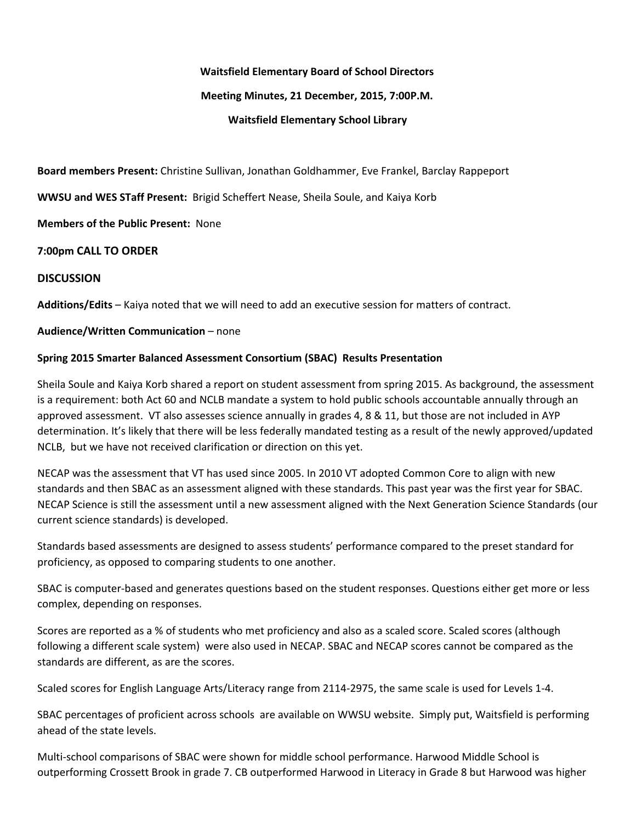#### **Waitsfield Elementary Board of School Directors**

### **Meeting Minutes, 21 December, 2015, 7:00P.M.**

### **Waitsfield Elementary School Library**

**Board members Present:** Christine Sullivan, Jonathan Goldhammer, Eve Frankel, Barclay Rappeport

**WWSU and WES STaff Present:** Brigid Scheffert Nease, Sheila Soule, and Kaiya Korb

**Members of the Public Present: None** 

### **7:00pm CALL TO ORDER**

### **DISCUSSION**

**Additions/Edits**– Kaiya noted that we will need to add an executive session for matters of contract.

#### **Audience/Written Communication**– none

### **Spring 2015 Smarter Balanced Assessment Consortium (SBAC) Results Presentation**

Sheila Soule and Kaiya Korb shared a report on student assessment from spring 2015. As background, the assessment is a requirement: both Act 60 and NCLB mandate a system to hold public schools accountable annually through an approved assessment. VT also assesses science annually in grades 4, 8 & 11, but those are not included in AYP determination. It's likely that there will be less federally mandated testing as a result of the newly approved/updated NCLB, but we have not received clarification or direction on this yet.

NECAP was the assessment that VT has used since 2005. In 2010 VT adopted Common Core to align with new standards and then SBAC as an assessment aligned with these standards. This past year was the first year for SBAC. NECAP Science is still the assessment until a new assessment aligned with the Next Generation Science Standards (our current science standards) is developed.

Standards based assessments are designed to assess students' performance compared to the preset standard for proficiency, as opposed to comparing students to one another.

SBAC is computer-based and generates questions based on the student responses. Questions either get more or less complex, depending on responses.

Scores are reported as a % of students who met proficiency and also as a scaled score. Scaled scores (although following a different scale system) were also used in NECAP. SBAC and NECAP scores cannot be compared as the standards are different, as are the scores.

Scaled scores for English Language Arts/Literacy range from 2114-2975, the same scale is used for Levels 1-4.

SBAC percentages of proficient across schools are available on WWSU website. Simply put, Waitsfield is performing ahead of the state levels.

Multi-school comparisons of SBAC were shown for middle school performance. Harwood Middle School is outperforming Crossett Brook in grade 7. CB outperformed Harwood in Literacy in Grade 8 but Harwood was higher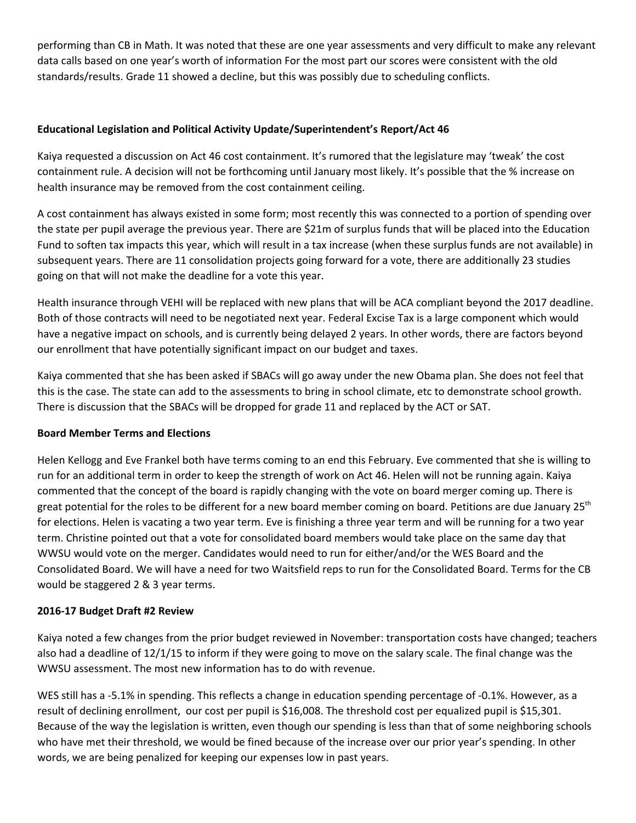performing than CB in Math. It was noted that these are one year assessments and very difficult to make any relevant data calls based on one year's worth of information For the most part our scores were consistent with the old standards/results. Grade 11 showed a decline, but this was possibly due to scheduling conflicts.

# **Educational Legislation and Political Activity Update/Superintendent's Report/Act 46**

Kaiya requested a discussion on Act 46 cost containment. It's rumored that the legislature may 'tweak' the cost containment rule. A decision will not be forthcoming until January most likely. It's possible that the % increase on health insurance may be removed from the cost containment ceiling.

A cost containment has always existed in some form; most recently this was connected to a portion of spending over the state per pupil average the previous year. There are \$21m of surplus funds that will be placed into the Education Fund to soften tax impacts this year, which will result in a tax increase (when these surplus funds are not available) in subsequent years. There are 11 consolidation projects going forward for a vote, there are additionally 23 studies going on that will not make the deadline for a vote this year.

Health insurance through VEHI will be replaced with new plans that will be ACA compliant beyond the 2017 deadline. Both of those contracts will need to be negotiated next year. Federal Excise Tax is a large component which would have a negative impact on schools, and is currently being delayed 2 years. In other words, there are factors beyond our enrollment that have potentially significant impact on our budget and taxes.

Kaiya commented that she has been asked if SBACs will go away under the new Obama plan. She does not feel that this is the case. The state can add to the assessments to bring in school climate, etc to demonstrate school growth. There is discussion that the SBACs will be dropped for grade 11 and replaced by the ACT or SAT.

# **Board Member Terms and Elections**

Helen Kellogg and Eve Frankel both have terms coming to an end this February. Eve commented that she is willing to run for an additional term in order to keep the strength of work on Act 46. Helen will not be running again. Kaiya commented that the concept of the board is rapidly changing with the vote on board merger coming up. There is great potential for the roles to be different for a new board member coming on board. Petitions are due January 25<sup>th</sup> for elections. Helen is vacating a two year term. Eve is finishing a three year term and will be running for a two year term. Christine pointed out that a vote for consolidated board members would take place on the same day that WWSU would vote on the merger. Candidates would need to run for either/and/or the WES Board and the Consolidated Board. We will have a need for two Waitsfield reps to run for the Consolidated Board. Terms for the CB would be staggered 2 & 3 year terms.

# **2016-17 Budget Draft #2 Review**

Kaiya noted a few changes from the prior budget reviewed in November: transportation costs have changed; teachers also had a deadline of 12/1/15 to inform if they were going to move on the salary scale. The final change was the WWSU assessment. The most new information has to do with revenue.

WES still has a -5.1% in spending. This reflects a change in education spending percentage of -0.1%. However, as a result of declining enrollment, our cost per pupil is \$16,008. The threshold cost per equalized pupil is \$15,301. Because of the way the legislation is written, even though our spending is less than that of some neighboring schools who have met their threshold, we would be fined because of the increase over our prior year's spending. In other words, we are being penalized for keeping our expenses low in past years.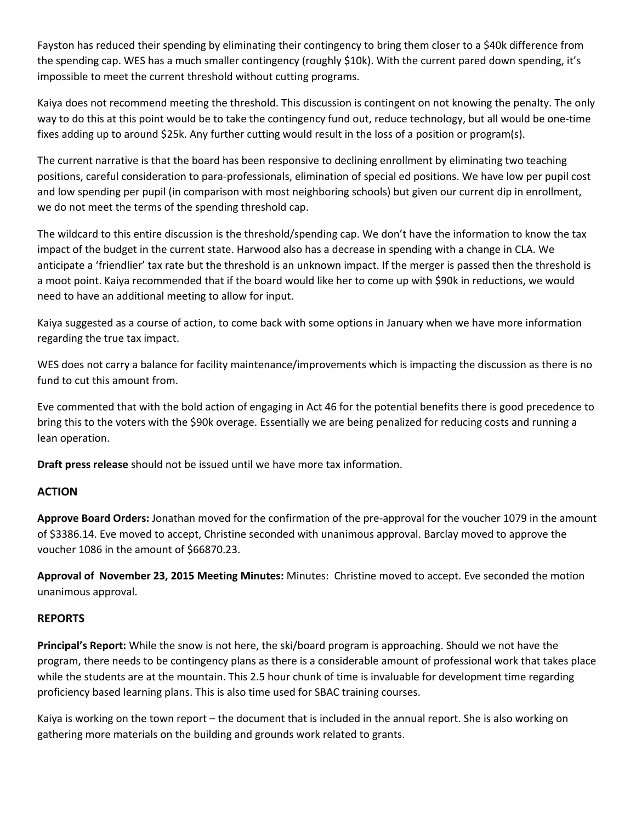Fayston has reduced their spending by eliminating their contingency to bring them closer to a \$40k difference from the spending cap. WES has a much smaller contingency (roughly \$10k). With the current pared down spending, it's impossible to meet the current threshold without cutting programs.

Kaiya does not recommend meeting the threshold. This discussion is contingent on not knowing the penalty. The only way to do this at this point would be to take the contingency fund out, reduce technology, but all would be one-time fixes adding up to around \$25k. Any further cutting would result in the loss of a position or program(s).

The current narrative is that the board has been responsive to declining enrollment by eliminating two teaching positions, careful consideration to para-professionals, elimination of special ed positions. We have low per pupil cost and low spending per pupil (in comparison with most neighboring schools) but given our current dip in enrollment, we do not meet the terms of the spending threshold cap.

The wildcard to this entire discussion is the threshold/spending cap. We don't have the information to know the tax impact of the budget in the current state. Harwood also has a decrease in spending with a change in CLA. We anticipate a 'friendlier' tax rate but the threshold is an unknown impact. If the merger is passed then the threshold is a moot point. Kaiya recommended that if the board would like her to come up with \$90k in reductions, we would need to have an additional meeting to allow for input.

Kaiya suggested as a course of action, to come back with some options in January when we have more information regarding the true tax impact.

WES does not carry a balance for facility maintenance/improvements which is impacting the discussion as there is no fund to cut this amount from.

Eve commented that with the bold action of engaging in Act 46 for the potential benefits there is good precedence to bring this to the voters with the \$90k overage. Essentially we are being penalized for reducing costs and running a lean operation.

**Draft press release**should not be issued until we have more tax information.

# **ACTION**

**Approve Board Orders:**Jonathan moved for the confirmation of the pre-approval for the voucher 1079 in the amount of \$3386.14. Eve moved to accept, Christine seconded with unanimous approval. Barclay moved to approve the voucher 1086 in the amount of \$66870.23.

**Approval of November 23, 2015 Meeting Minutes: Minutes: Christine moved to accept. Eve seconded the motion** unanimous approval.

# **REPORTS**

**Principal's Report:** While the snow is not here, the ski/board program is approaching. Should we not have the program, there needs to be contingency plans as there is a considerable amount of professional work that takes place while the students are at the mountain. This 2.5 hour chunk of time is invaluable for development time regarding proficiency based learning plans. This is also time used for SBAC training courses.

Kaiya is working on the town report – the document that is included in the annual report. She is also working on gathering more materials on the building and grounds work related to grants.